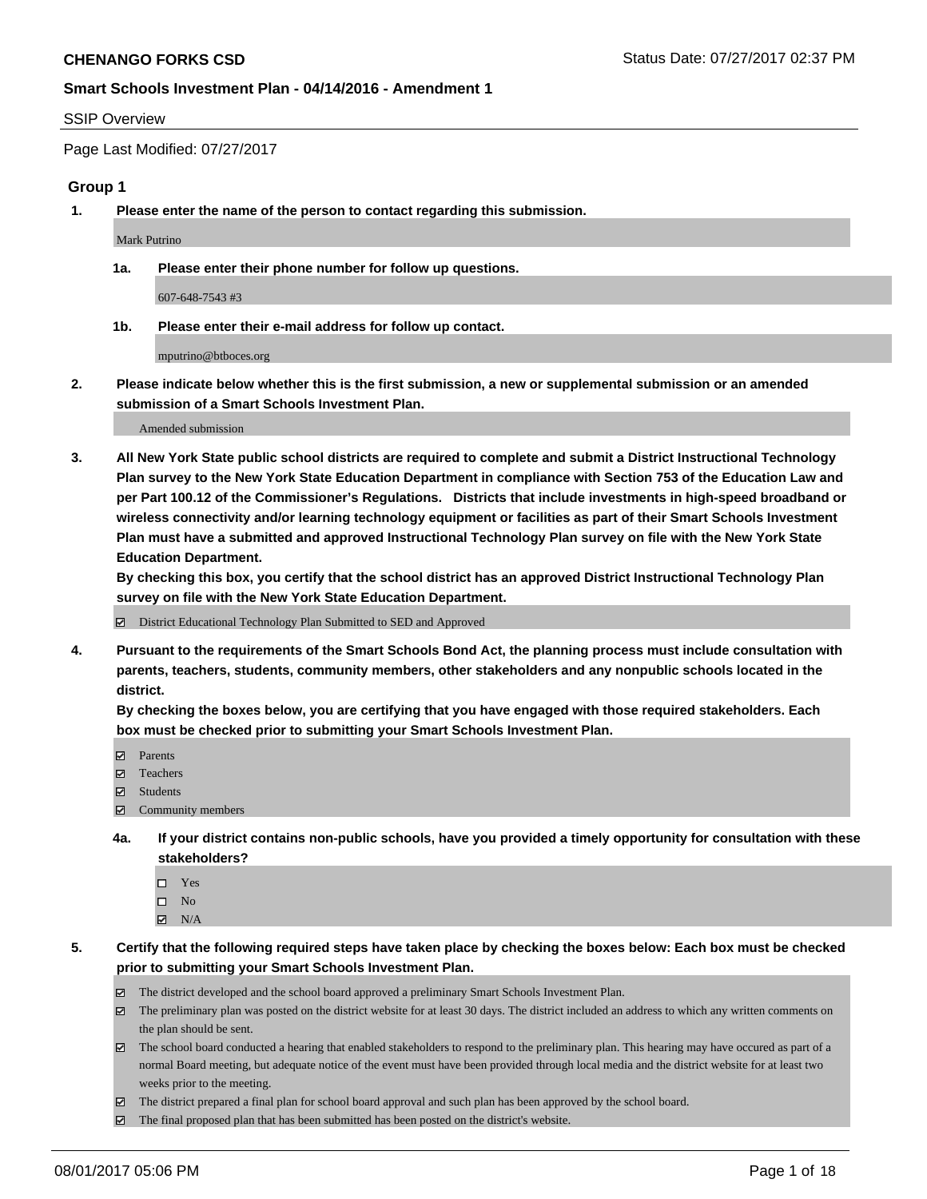#### SSIP Overview

Page Last Modified: 07/27/2017

#### **Group 1**

**1. Please enter the name of the person to contact regarding this submission.**

Mark Putrino

**1a. Please enter their phone number for follow up questions.**

607-648-7543 #3

**1b. Please enter their e-mail address for follow up contact.**

mputrino@btboces.org

**2. Please indicate below whether this is the first submission, a new or supplemental submission or an amended submission of a Smart Schools Investment Plan.**

Amended submission

**3. All New York State public school districts are required to complete and submit a District Instructional Technology Plan survey to the New York State Education Department in compliance with Section 753 of the Education Law and per Part 100.12 of the Commissioner's Regulations. Districts that include investments in high-speed broadband or wireless connectivity and/or learning technology equipment or facilities as part of their Smart Schools Investment Plan must have a submitted and approved Instructional Technology Plan survey on file with the New York State Education Department.** 

**By checking this box, you certify that the school district has an approved District Instructional Technology Plan survey on file with the New York State Education Department.**

District Educational Technology Plan Submitted to SED and Approved

**4. Pursuant to the requirements of the Smart Schools Bond Act, the planning process must include consultation with parents, teachers, students, community members, other stakeholders and any nonpublic schools located in the district.** 

**By checking the boxes below, you are certifying that you have engaged with those required stakeholders. Each box must be checked prior to submitting your Smart Schools Investment Plan.**

- **マ** Parents
- □ Teachers
- Students
- $\Xi$  Community members
- **4a. If your district contains non-public schools, have you provided a timely opportunity for consultation with these stakeholders?**
	- Yes
	- $\hfill \square$  No
	- $\boxtimes$  N/A
- **5. Certify that the following required steps have taken place by checking the boxes below: Each box must be checked prior to submitting your Smart Schools Investment Plan.**
	- The district developed and the school board approved a preliminary Smart Schools Investment Plan.
	- $\boxtimes$  The preliminary plan was posted on the district website for at least 30 days. The district included an address to which any written comments on the plan should be sent.
	- $\boxtimes$  The school board conducted a hearing that enabled stakeholders to respond to the preliminary plan. This hearing may have occured as part of a normal Board meeting, but adequate notice of the event must have been provided through local media and the district website for at least two weeks prior to the meeting.
	- The district prepared a final plan for school board approval and such plan has been approved by the school board.
	- $\boxtimes$  The final proposed plan that has been submitted has been posted on the district's website.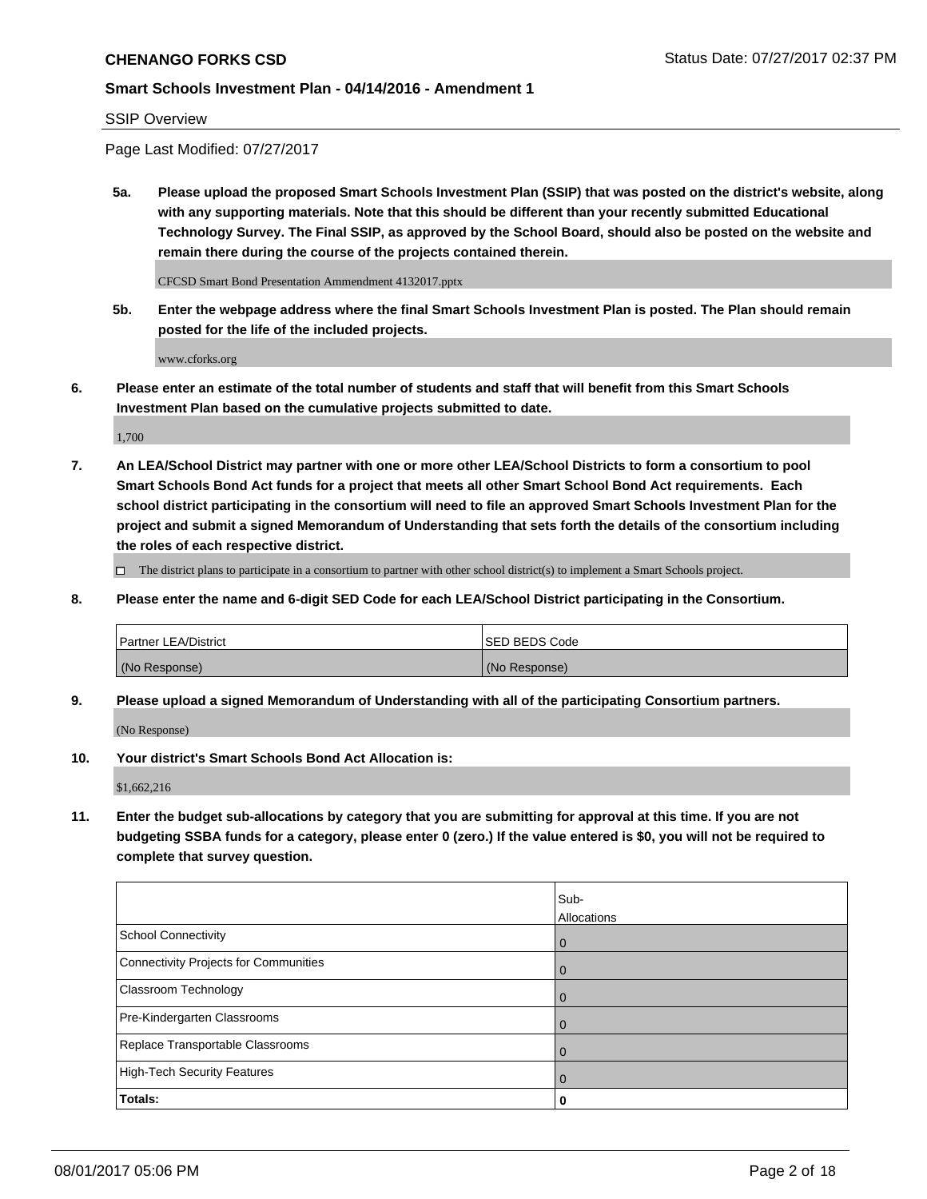#### SSIP Overview

Page Last Modified: 07/27/2017

**5a. Please upload the proposed Smart Schools Investment Plan (SSIP) that was posted on the district's website, along with any supporting materials. Note that this should be different than your recently submitted Educational Technology Survey. The Final SSIP, as approved by the School Board, should also be posted on the website and remain there during the course of the projects contained therein.**

CFCSD Smart Bond Presentation Ammendment 4132017.pptx

**5b. Enter the webpage address where the final Smart Schools Investment Plan is posted. The Plan should remain posted for the life of the included projects.**

www.cforks.org

**6. Please enter an estimate of the total number of students and staff that will benefit from this Smart Schools Investment Plan based on the cumulative projects submitted to date.**

1,700

**7. An LEA/School District may partner with one or more other LEA/School Districts to form a consortium to pool Smart Schools Bond Act funds for a project that meets all other Smart School Bond Act requirements. Each school district participating in the consortium will need to file an approved Smart Schools Investment Plan for the project and submit a signed Memorandum of Understanding that sets forth the details of the consortium including the roles of each respective district.**

 $\Box$  The district plans to participate in a consortium to partner with other school district(s) to implement a Smart Schools project.

**8. Please enter the name and 6-digit SED Code for each LEA/School District participating in the Consortium.**

| <b>Partner LEA/District</b> | <b>ISED BEDS Code</b> |
|-----------------------------|-----------------------|
| (No Response)               | (No Response)         |

**9. Please upload a signed Memorandum of Understanding with all of the participating Consortium partners.**

(No Response)

**10. Your district's Smart Schools Bond Act Allocation is:**

\$1,662,216

**11. Enter the budget sub-allocations by category that you are submitting for approval at this time. If you are not budgeting SSBA funds for a category, please enter 0 (zero.) If the value entered is \$0, you will not be required to complete that survey question.**

|                                              | Sub-<br>Allocations |
|----------------------------------------------|---------------------|
| <b>School Connectivity</b>                   | $\overline{0}$      |
| <b>Connectivity Projects for Communities</b> | $\overline{0}$      |
| Classroom Technology                         | 0                   |
| Pre-Kindergarten Classrooms                  | $\mathbf 0$         |
| Replace Transportable Classrooms             | $\Omega$            |
| <b>High-Tech Security Features</b>           | $\overline{0}$      |
| Totals:                                      | 0                   |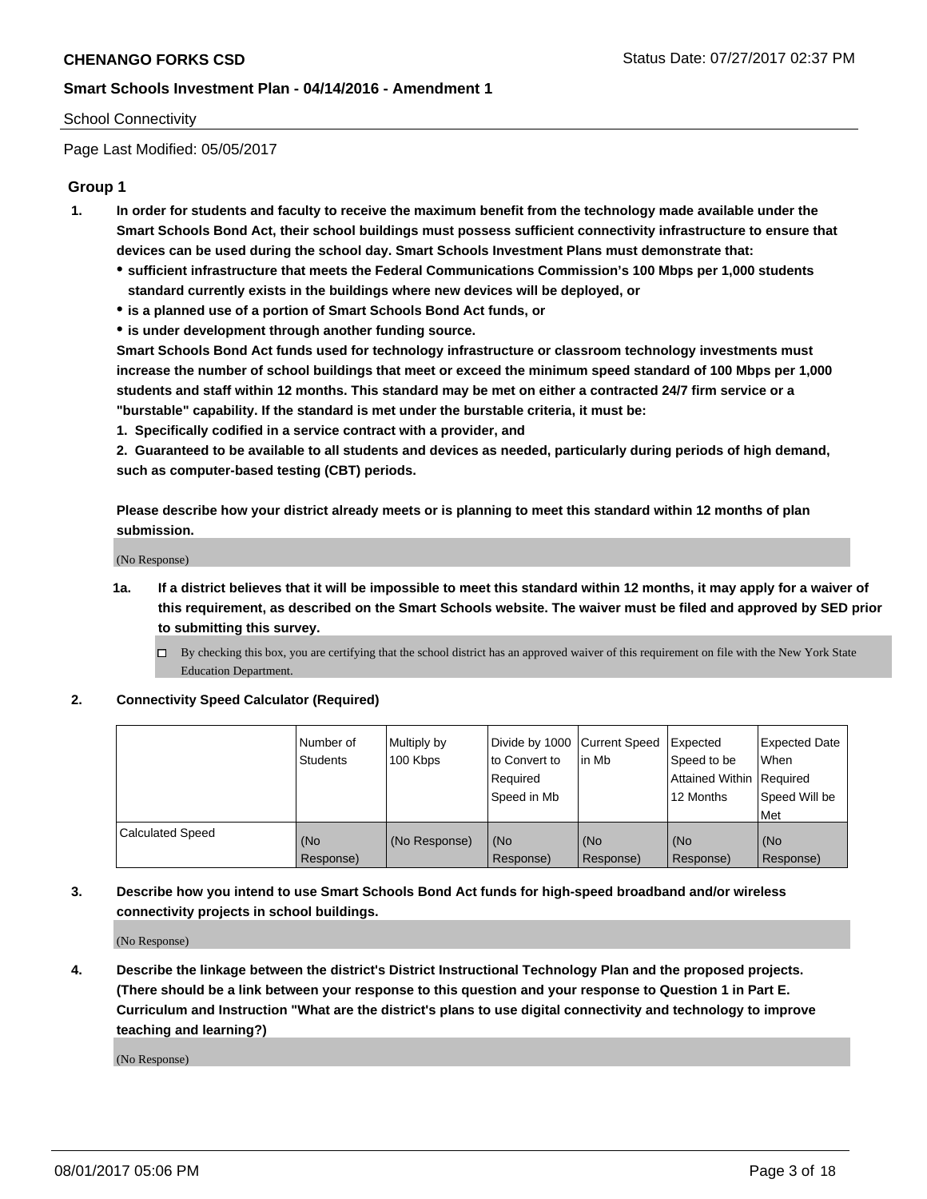#### School Connectivity

Page Last Modified: 05/05/2017

# **Group 1**

- **1. In order for students and faculty to receive the maximum benefit from the technology made available under the Smart Schools Bond Act, their school buildings must possess sufficient connectivity infrastructure to ensure that devices can be used during the school day. Smart Schools Investment Plans must demonstrate that:**
	- **sufficient infrastructure that meets the Federal Communications Commission's 100 Mbps per 1,000 students standard currently exists in the buildings where new devices will be deployed, or**
	- **is a planned use of a portion of Smart Schools Bond Act funds, or**
	- **is under development through another funding source.**

**Smart Schools Bond Act funds used for technology infrastructure or classroom technology investments must increase the number of school buildings that meet or exceed the minimum speed standard of 100 Mbps per 1,000 students and staff within 12 months. This standard may be met on either a contracted 24/7 firm service or a "burstable" capability. If the standard is met under the burstable criteria, it must be:**

**1. Specifically codified in a service contract with a provider, and**

**2. Guaranteed to be available to all students and devices as needed, particularly during periods of high demand, such as computer-based testing (CBT) periods.**

**Please describe how your district already meets or is planning to meet this standard within 12 months of plan submission.**

(No Response)

- **1a. If a district believes that it will be impossible to meet this standard within 12 months, it may apply for a waiver of this requirement, as described on the Smart Schools website. The waiver must be filed and approved by SED prior to submitting this survey.**
	- By checking this box, you are certifying that the school district has an approved waiver of this requirement on file with the New York State Education Department.

#### **2. Connectivity Speed Calculator (Required)**

|                         | l Number of<br><b>Students</b> | Multiply by<br>100 Kbps | Divide by 1000   Current Speed<br>to Convert to<br>Required<br>l Speed in Mb | in Mb            | Expected<br>Speed to be<br>Attained Within Required<br>12 Months | <b>Expected Date</b><br>When<br>Speed Will be<br><b>Met</b> |
|-------------------------|--------------------------------|-------------------------|------------------------------------------------------------------------------|------------------|------------------------------------------------------------------|-------------------------------------------------------------|
| <b>Calculated Speed</b> | (No<br>Response)               | (No Response)           | (No<br>Response)                                                             | (No<br>Response) | (No<br>Response)                                                 | l (No<br>Response)                                          |

# **3. Describe how you intend to use Smart Schools Bond Act funds for high-speed broadband and/or wireless connectivity projects in school buildings.**

(No Response)

**4. Describe the linkage between the district's District Instructional Technology Plan and the proposed projects. (There should be a link between your response to this question and your response to Question 1 in Part E. Curriculum and Instruction "What are the district's plans to use digital connectivity and technology to improve teaching and learning?)**

(No Response)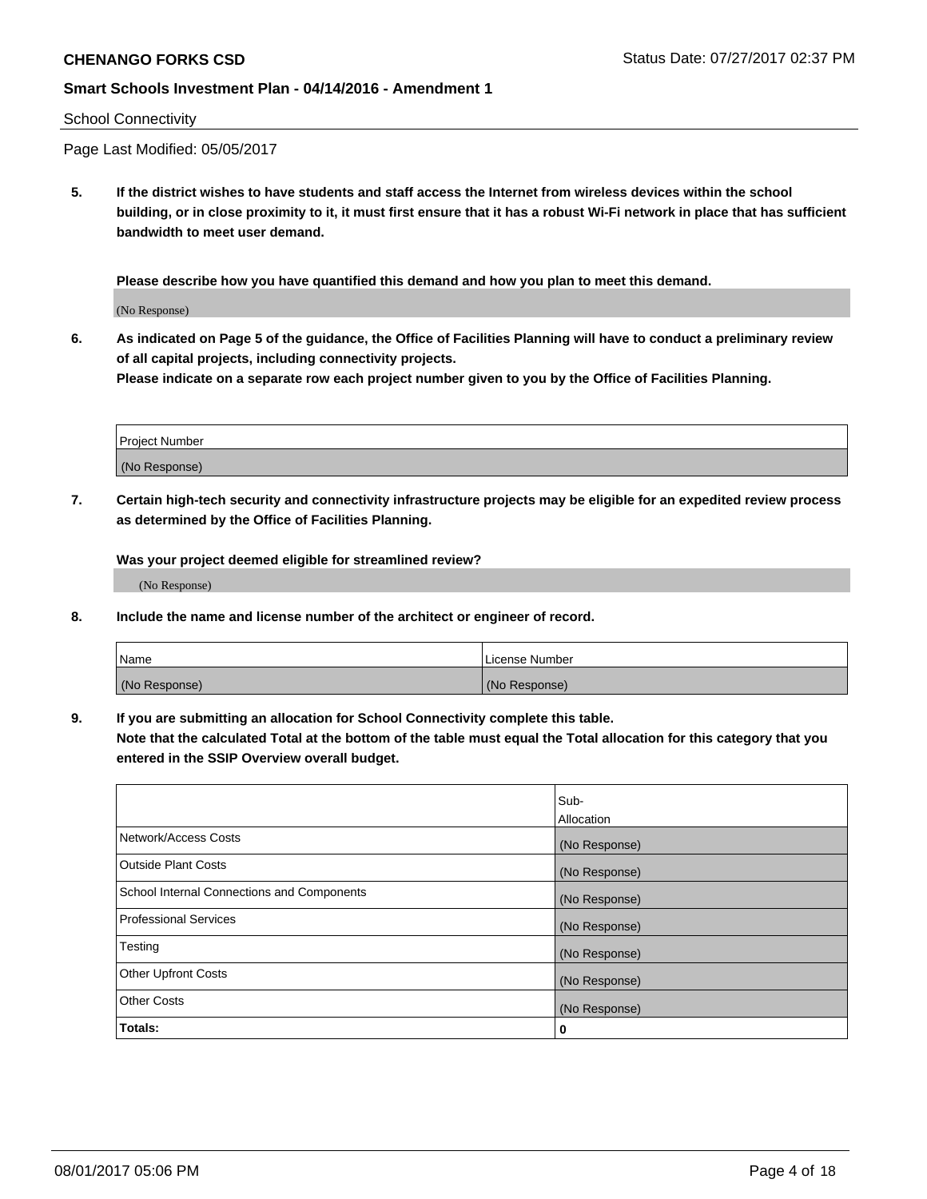#### School Connectivity

Page Last Modified: 05/05/2017

**5. If the district wishes to have students and staff access the Internet from wireless devices within the school building, or in close proximity to it, it must first ensure that it has a robust Wi-Fi network in place that has sufficient bandwidth to meet user demand.**

**Please describe how you have quantified this demand and how you plan to meet this demand.**

(No Response)

**6. As indicated on Page 5 of the guidance, the Office of Facilities Planning will have to conduct a preliminary review of all capital projects, including connectivity projects.**

**Please indicate on a separate row each project number given to you by the Office of Facilities Planning.**

| Project Number |  |
|----------------|--|
|                |  |
| (No Response)  |  |

**7. Certain high-tech security and connectivity infrastructure projects may be eligible for an expedited review process as determined by the Office of Facilities Planning.**

**Was your project deemed eligible for streamlined review?**

(No Response)

**8. Include the name and license number of the architect or engineer of record.**

| Name          | License Number |
|---------------|----------------|
| (No Response) | (No Response)  |

**9. If you are submitting an allocation for School Connectivity complete this table.**

**Note that the calculated Total at the bottom of the table must equal the Total allocation for this category that you entered in the SSIP Overview overall budget.** 

|                                            | Sub-          |
|--------------------------------------------|---------------|
|                                            | Allocation    |
| Network/Access Costs                       | (No Response) |
| Outside Plant Costs                        | (No Response) |
| School Internal Connections and Components | (No Response) |
| <b>Professional Services</b>               | (No Response) |
| Testing                                    | (No Response) |
| <b>Other Upfront Costs</b>                 | (No Response) |
| <b>Other Costs</b>                         | (No Response) |
| Totals:                                    | 0             |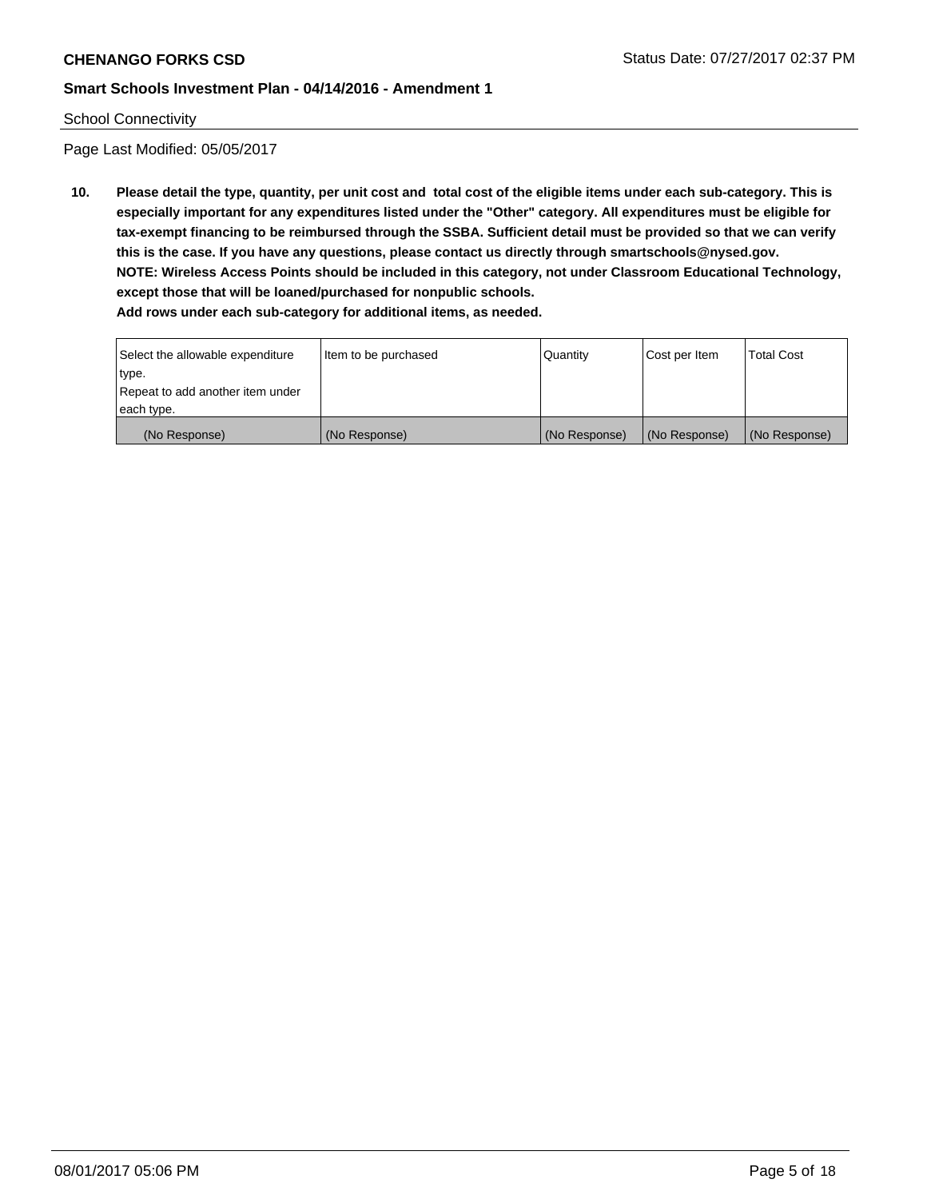#### School Connectivity

Page Last Modified: 05/05/2017

**10. Please detail the type, quantity, per unit cost and total cost of the eligible items under each sub-category. This is especially important for any expenditures listed under the "Other" category. All expenditures must be eligible for tax-exempt financing to be reimbursed through the SSBA. Sufficient detail must be provided so that we can verify this is the case. If you have any questions, please contact us directly through smartschools@nysed.gov. NOTE: Wireless Access Points should be included in this category, not under Classroom Educational Technology, except those that will be loaned/purchased for nonpublic schools.**

| Select the allowable expenditure | Item to be purchased | Quantity      | Cost per Item | <b>Total Cost</b> |
|----------------------------------|----------------------|---------------|---------------|-------------------|
| type.                            |                      |               |               |                   |
| Repeat to add another item under |                      |               |               |                   |
| each type.                       |                      |               |               |                   |
| (No Response)                    | (No Response)        | (No Response) | (No Response) | (No Response)     |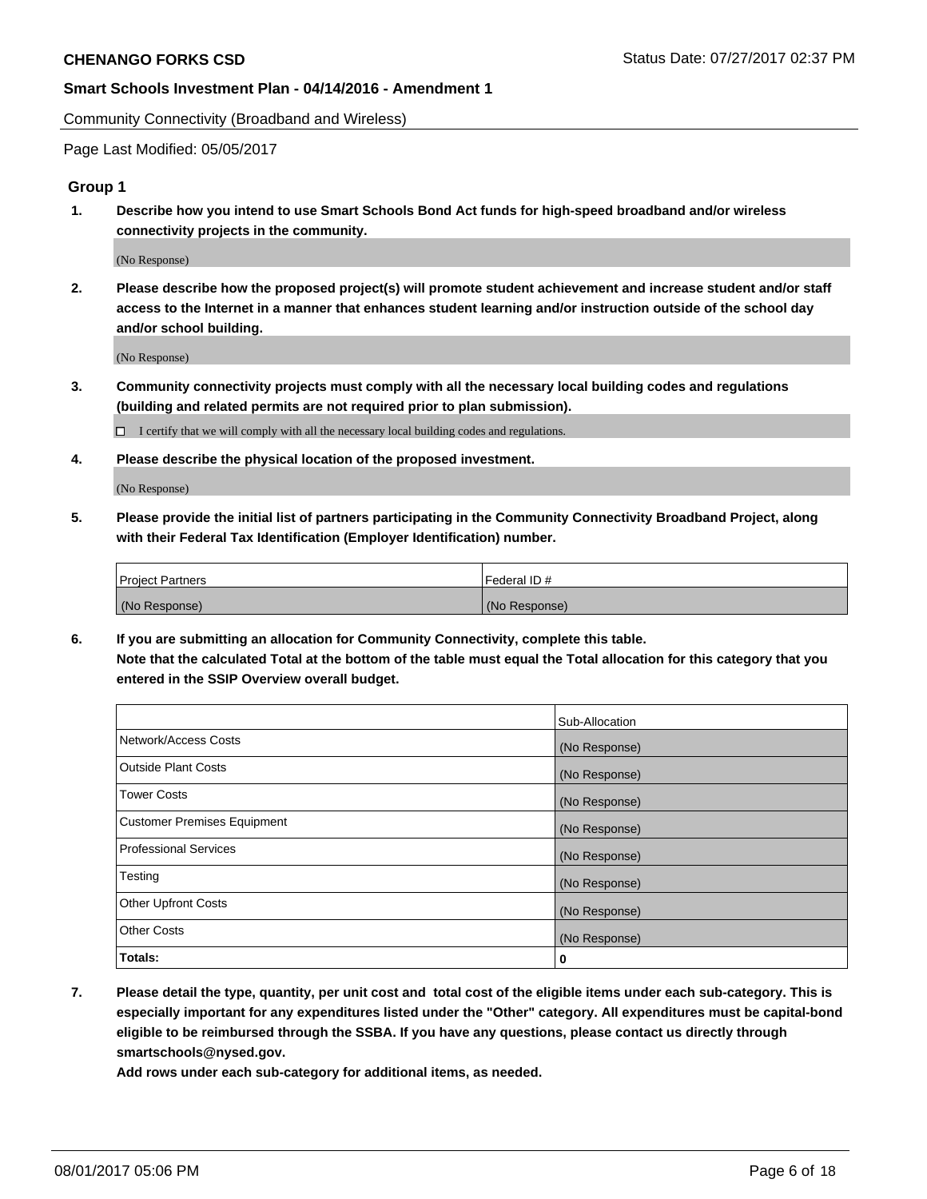Community Connectivity (Broadband and Wireless)

Page Last Modified: 05/05/2017

#### **Group 1**

**1. Describe how you intend to use Smart Schools Bond Act funds for high-speed broadband and/or wireless connectivity projects in the community.**

(No Response)

**2. Please describe how the proposed project(s) will promote student achievement and increase student and/or staff access to the Internet in a manner that enhances student learning and/or instruction outside of the school day and/or school building.**

(No Response)

**3. Community connectivity projects must comply with all the necessary local building codes and regulations (building and related permits are not required prior to plan submission).**

 $\Box$  I certify that we will comply with all the necessary local building codes and regulations.

**4. Please describe the physical location of the proposed investment.**

(No Response)

**5. Please provide the initial list of partners participating in the Community Connectivity Broadband Project, along with their Federal Tax Identification (Employer Identification) number.**

| <b>Project Partners</b> | Federal ID#     |
|-------------------------|-----------------|
| (No Response)           | l (No Response) |

**6. If you are submitting an allocation for Community Connectivity, complete this table. Note that the calculated Total at the bottom of the table must equal the Total allocation for this category that you entered in the SSIP Overview overall budget.**

|                                    | Sub-Allocation |
|------------------------------------|----------------|
| Network/Access Costs               | (No Response)  |
| Outside Plant Costs                | (No Response)  |
| <b>Tower Costs</b>                 | (No Response)  |
| <b>Customer Premises Equipment</b> | (No Response)  |
| <b>Professional Services</b>       | (No Response)  |
| Testing                            | (No Response)  |
| <b>Other Upfront Costs</b>         | (No Response)  |
| <b>Other Costs</b>                 | (No Response)  |
| Totals:                            | 0              |

**7. Please detail the type, quantity, per unit cost and total cost of the eligible items under each sub-category. This is especially important for any expenditures listed under the "Other" category. All expenditures must be capital-bond eligible to be reimbursed through the SSBA. If you have any questions, please contact us directly through smartschools@nysed.gov.**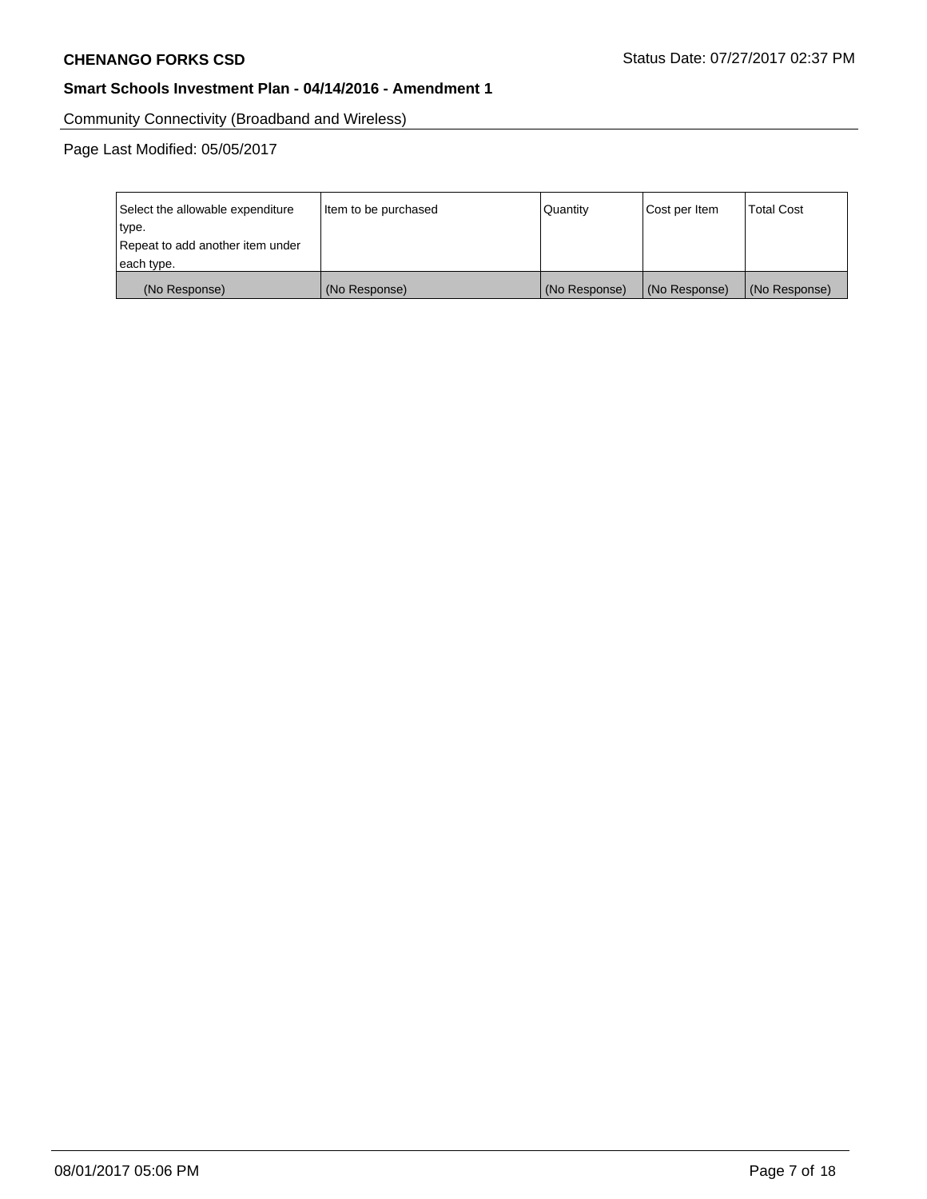Community Connectivity (Broadband and Wireless)

Page Last Modified: 05/05/2017

| Select the allowable expenditure<br>type.<br>Repeat to add another item under | Item to be purchased | Quantity      | Cost per Item | <b>Total Cost</b> |
|-------------------------------------------------------------------------------|----------------------|---------------|---------------|-------------------|
| each type.                                                                    |                      |               |               |                   |
| (No Response)                                                                 | (No Response)        | (No Response) | (No Response) | (No Response)     |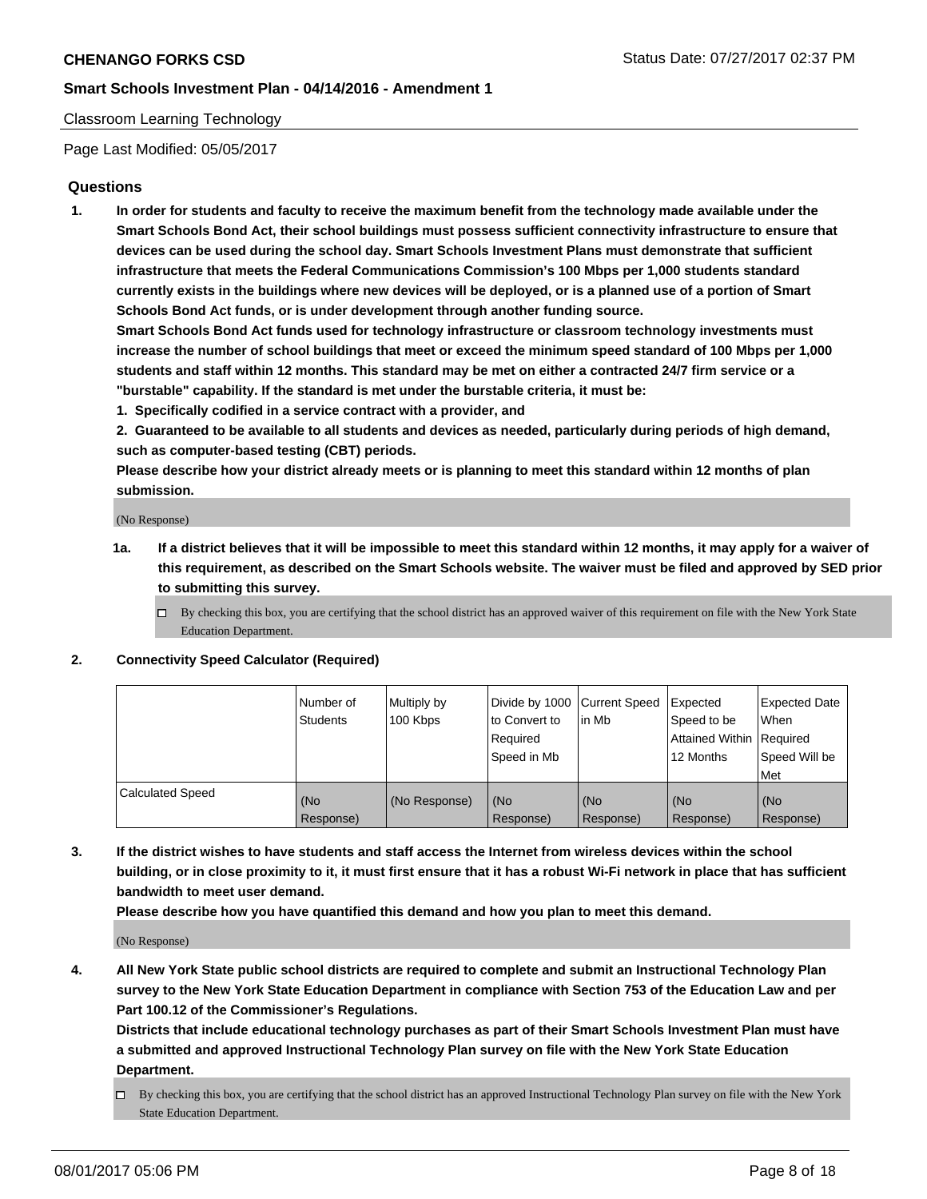# Classroom Learning Technology

Page Last Modified: 05/05/2017

# **Questions**

**1. In order for students and faculty to receive the maximum benefit from the technology made available under the Smart Schools Bond Act, their school buildings must possess sufficient connectivity infrastructure to ensure that devices can be used during the school day. Smart Schools Investment Plans must demonstrate that sufficient infrastructure that meets the Federal Communications Commission's 100 Mbps per 1,000 students standard currently exists in the buildings where new devices will be deployed, or is a planned use of a portion of Smart Schools Bond Act funds, or is under development through another funding source.**

**Smart Schools Bond Act funds used for technology infrastructure or classroom technology investments must increase the number of school buildings that meet or exceed the minimum speed standard of 100 Mbps per 1,000 students and staff within 12 months. This standard may be met on either a contracted 24/7 firm service or a "burstable" capability. If the standard is met under the burstable criteria, it must be:**

- **1. Specifically codified in a service contract with a provider, and**
- **2. Guaranteed to be available to all students and devices as needed, particularly during periods of high demand, such as computer-based testing (CBT) periods.**

**Please describe how your district already meets or is planning to meet this standard within 12 months of plan submission.**

(No Response)

- **1a. If a district believes that it will be impossible to meet this standard within 12 months, it may apply for a waiver of this requirement, as described on the Smart Schools website. The waiver must be filed and approved by SED prior to submitting this survey.**
	- $\Box$  By checking this box, you are certifying that the school district has an approved waiver of this requirement on file with the New York State Education Department.

#### **2. Connectivity Speed Calculator (Required)**

|                         | l Number of<br>Students | Multiply by<br>100 Kbps | Divide by 1000   Current Speed<br>to Convert to<br>Required<br>Speed in Mb | l in Mb          | Expected<br>Speed to be<br>Attained Within Required<br>12 Months | <b>Expected Date</b><br>When<br>Speed Will be<br>Met |
|-------------------------|-------------------------|-------------------------|----------------------------------------------------------------------------|------------------|------------------------------------------------------------------|------------------------------------------------------|
| <b>Calculated Speed</b> | (No<br>Response)        | (No Response)           | (No<br>Response)                                                           | (No<br>Response) | (No<br>Response)                                                 | (No<br>Response)                                     |

**3. If the district wishes to have students and staff access the Internet from wireless devices within the school building, or in close proximity to it, it must first ensure that it has a robust Wi-Fi network in place that has sufficient bandwidth to meet user demand.**

**Please describe how you have quantified this demand and how you plan to meet this demand.**

(No Response)

**4. All New York State public school districts are required to complete and submit an Instructional Technology Plan survey to the New York State Education Department in compliance with Section 753 of the Education Law and per Part 100.12 of the Commissioner's Regulations.**

**Districts that include educational technology purchases as part of their Smart Schools Investment Plan must have a submitted and approved Instructional Technology Plan survey on file with the New York State Education Department.**

 $\Box$  By checking this box, you are certifying that the school district has an approved Instructional Technology Plan survey on file with the New York State Education Department.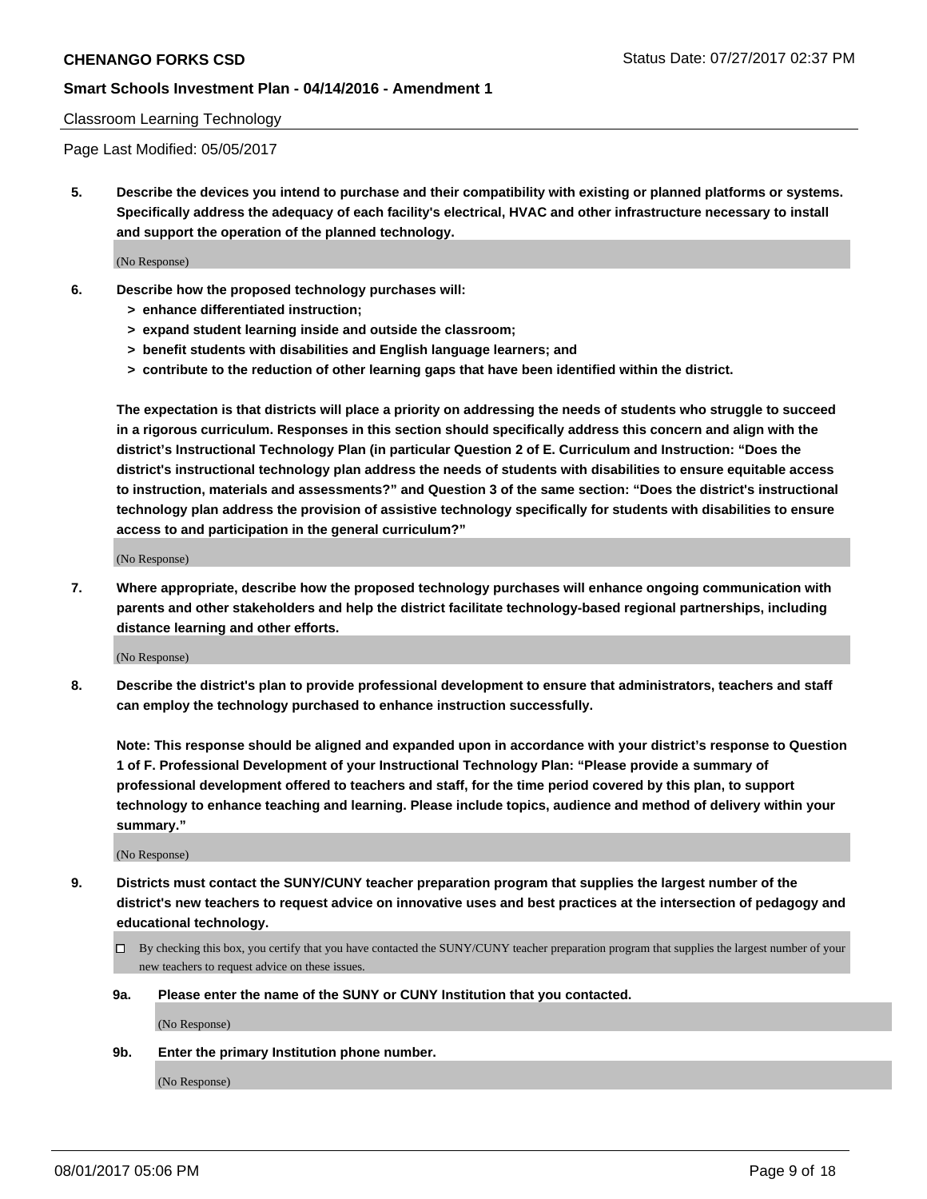# Classroom Learning Technology

Page Last Modified: 05/05/2017

**5. Describe the devices you intend to purchase and their compatibility with existing or planned platforms or systems. Specifically address the adequacy of each facility's electrical, HVAC and other infrastructure necessary to install and support the operation of the planned technology.**

(No Response)

- **6. Describe how the proposed technology purchases will:**
	- **> enhance differentiated instruction;**
	- **> expand student learning inside and outside the classroom;**
	- **> benefit students with disabilities and English language learners; and**
	- **> contribute to the reduction of other learning gaps that have been identified within the district.**

**The expectation is that districts will place a priority on addressing the needs of students who struggle to succeed in a rigorous curriculum. Responses in this section should specifically address this concern and align with the district's Instructional Technology Plan (in particular Question 2 of E. Curriculum and Instruction: "Does the district's instructional technology plan address the needs of students with disabilities to ensure equitable access to instruction, materials and assessments?" and Question 3 of the same section: "Does the district's instructional technology plan address the provision of assistive technology specifically for students with disabilities to ensure access to and participation in the general curriculum?"**

(No Response)

**7. Where appropriate, describe how the proposed technology purchases will enhance ongoing communication with parents and other stakeholders and help the district facilitate technology-based regional partnerships, including distance learning and other efforts.**

(No Response)

**8. Describe the district's plan to provide professional development to ensure that administrators, teachers and staff can employ the technology purchased to enhance instruction successfully.**

**Note: This response should be aligned and expanded upon in accordance with your district's response to Question 1 of F. Professional Development of your Instructional Technology Plan: "Please provide a summary of professional development offered to teachers and staff, for the time period covered by this plan, to support technology to enhance teaching and learning. Please include topics, audience and method of delivery within your summary."**

(No Response)

- **9. Districts must contact the SUNY/CUNY teacher preparation program that supplies the largest number of the district's new teachers to request advice on innovative uses and best practices at the intersection of pedagogy and educational technology.**
	- By checking this box, you certify that you have contacted the SUNY/CUNY teacher preparation program that supplies the largest number of your new teachers to request advice on these issues.
	- **9a. Please enter the name of the SUNY or CUNY Institution that you contacted.**

(No Response)

**9b. Enter the primary Institution phone number.**

(No Response)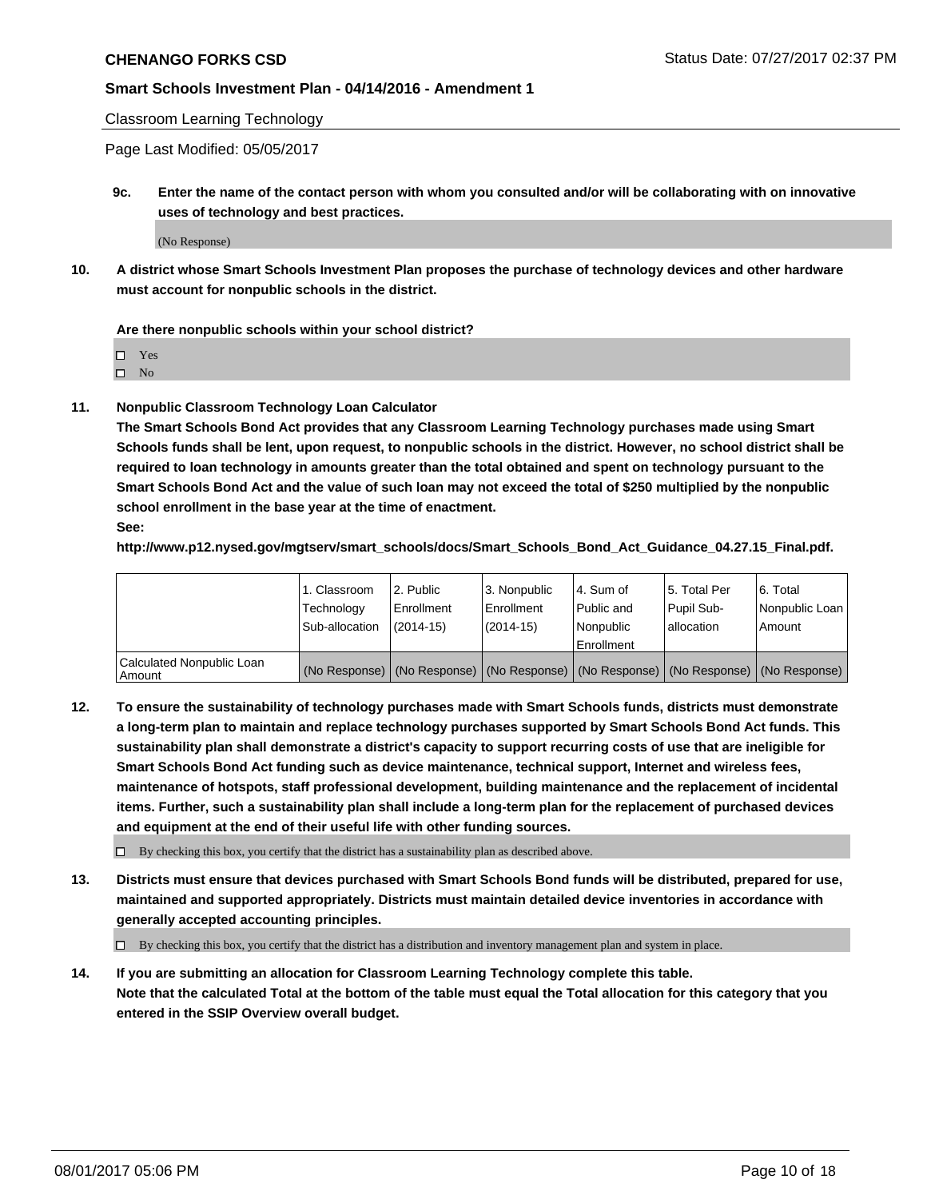Classroom Learning Technology

Page Last Modified: 05/05/2017

**9c. Enter the name of the contact person with whom you consulted and/or will be collaborating with on innovative uses of technology and best practices.**

(No Response)

**10. A district whose Smart Schools Investment Plan proposes the purchase of technology devices and other hardware must account for nonpublic schools in the district.**

**Are there nonpublic schools within your school district?**

Yes

 $\square$  No

**11. Nonpublic Classroom Technology Loan Calculator**

**The Smart Schools Bond Act provides that any Classroom Learning Technology purchases made using Smart Schools funds shall be lent, upon request, to nonpublic schools in the district. However, no school district shall be required to loan technology in amounts greater than the total obtained and spent on technology pursuant to the Smart Schools Bond Act and the value of such loan may not exceed the total of \$250 multiplied by the nonpublic school enrollment in the base year at the time of enactment.**

**See:**

**http://www.p12.nysed.gov/mgtserv/smart\_schools/docs/Smart\_Schools\_Bond\_Act\_Guidance\_04.27.15\_Final.pdf.**

|                                       | 1. Classroom   | l 2. Public   | 3. Nonpublic | l 4. Sum of | 15. Total Per                                                                                 | 6. Total       |
|---------------------------------------|----------------|---------------|--------------|-------------|-----------------------------------------------------------------------------------------------|----------------|
|                                       | Technology     | Enrollment    | Enrollment   | Public and  | Pupil Sub-                                                                                    | Nonpublic Loan |
|                                       | Sub-allocation | $(2014 - 15)$ | $(2014-15)$  | l Nonpublic | allocation                                                                                    | Amount         |
|                                       |                |               |              | Enrollment  |                                                                                               |                |
| Calculated Nonpublic Loan<br>  Amount |                |               |              |             | (No Response)   (No Response)   (No Response)   (No Response)   (No Response)   (No Response) |                |

**12. To ensure the sustainability of technology purchases made with Smart Schools funds, districts must demonstrate a long-term plan to maintain and replace technology purchases supported by Smart Schools Bond Act funds. This sustainability plan shall demonstrate a district's capacity to support recurring costs of use that are ineligible for Smart Schools Bond Act funding such as device maintenance, technical support, Internet and wireless fees, maintenance of hotspots, staff professional development, building maintenance and the replacement of incidental items. Further, such a sustainability plan shall include a long-term plan for the replacement of purchased devices and equipment at the end of their useful life with other funding sources.**

 $\Box$  By checking this box, you certify that the district has a sustainability plan as described above.

**13. Districts must ensure that devices purchased with Smart Schools Bond funds will be distributed, prepared for use, maintained and supported appropriately. Districts must maintain detailed device inventories in accordance with generally accepted accounting principles.**

By checking this box, you certify that the district has a distribution and inventory management plan and system in place.

**14. If you are submitting an allocation for Classroom Learning Technology complete this table. Note that the calculated Total at the bottom of the table must equal the Total allocation for this category that you entered in the SSIP Overview overall budget.**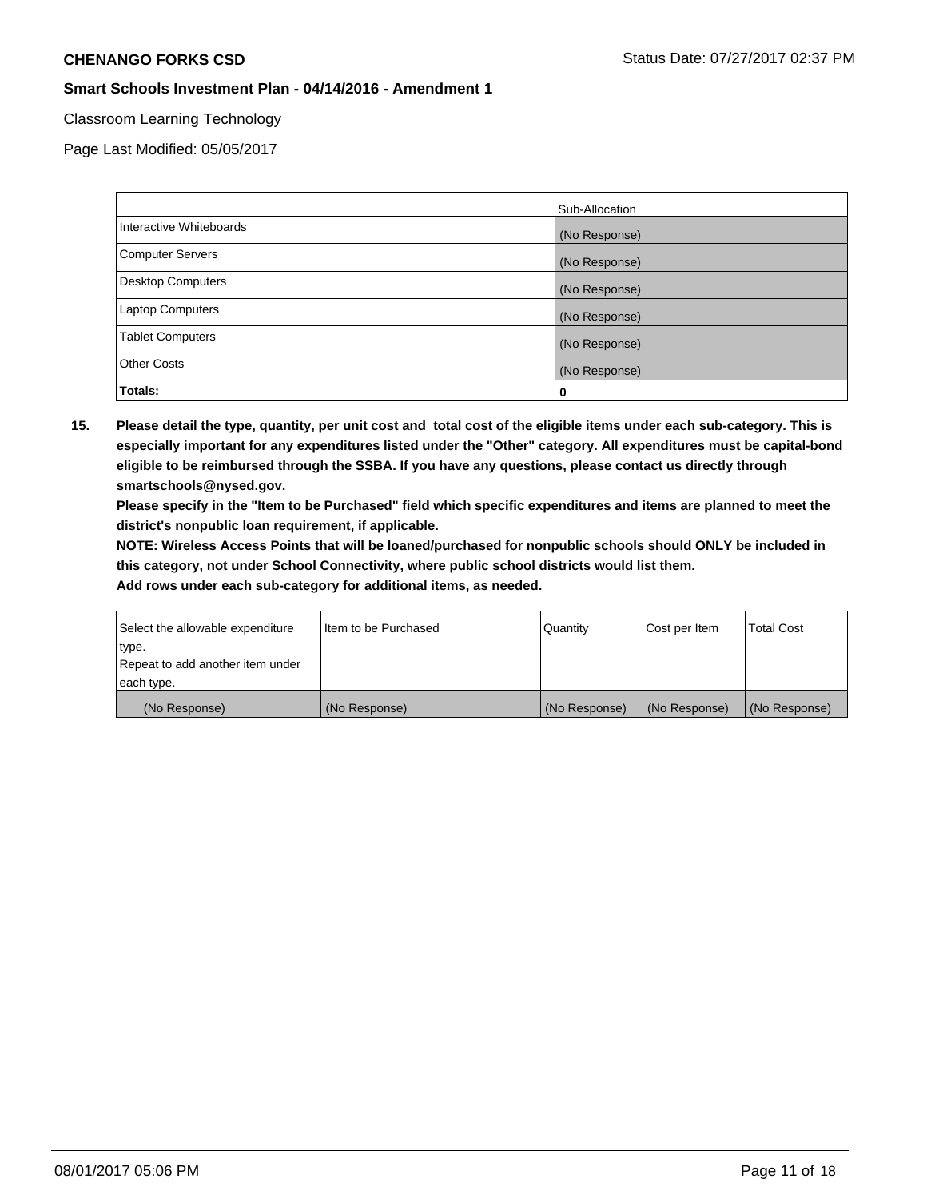# Classroom Learning Technology

Page Last Modified: 05/05/2017

|                          | Sub-Allocation |
|--------------------------|----------------|
| Interactive Whiteboards  | (No Response)  |
| Computer Servers         | (No Response)  |
| <b>Desktop Computers</b> | (No Response)  |
| <b>Laptop Computers</b>  | (No Response)  |
| <b>Tablet Computers</b>  | (No Response)  |
| <b>Other Costs</b>       | (No Response)  |
| Totals:                  | 0              |

**15. Please detail the type, quantity, per unit cost and total cost of the eligible items under each sub-category. This is especially important for any expenditures listed under the "Other" category. All expenditures must be capital-bond eligible to be reimbursed through the SSBA. If you have any questions, please contact us directly through smartschools@nysed.gov.**

**Please specify in the "Item to be Purchased" field which specific expenditures and items are planned to meet the district's nonpublic loan requirement, if applicable.**

**NOTE: Wireless Access Points that will be loaned/purchased for nonpublic schools should ONLY be included in this category, not under School Connectivity, where public school districts would list them.**

| Select the allowable expenditure<br>∣type. | Iltem to be Purchased | Quantity      | Cost per Item | <b>Total Cost</b> |
|--------------------------------------------|-----------------------|---------------|---------------|-------------------|
| Repeat to add another item under           |                       |               |               |                   |
| each type.                                 |                       |               |               |                   |
| (No Response)                              | (No Response)         | (No Response) | (No Response) | (No Response)     |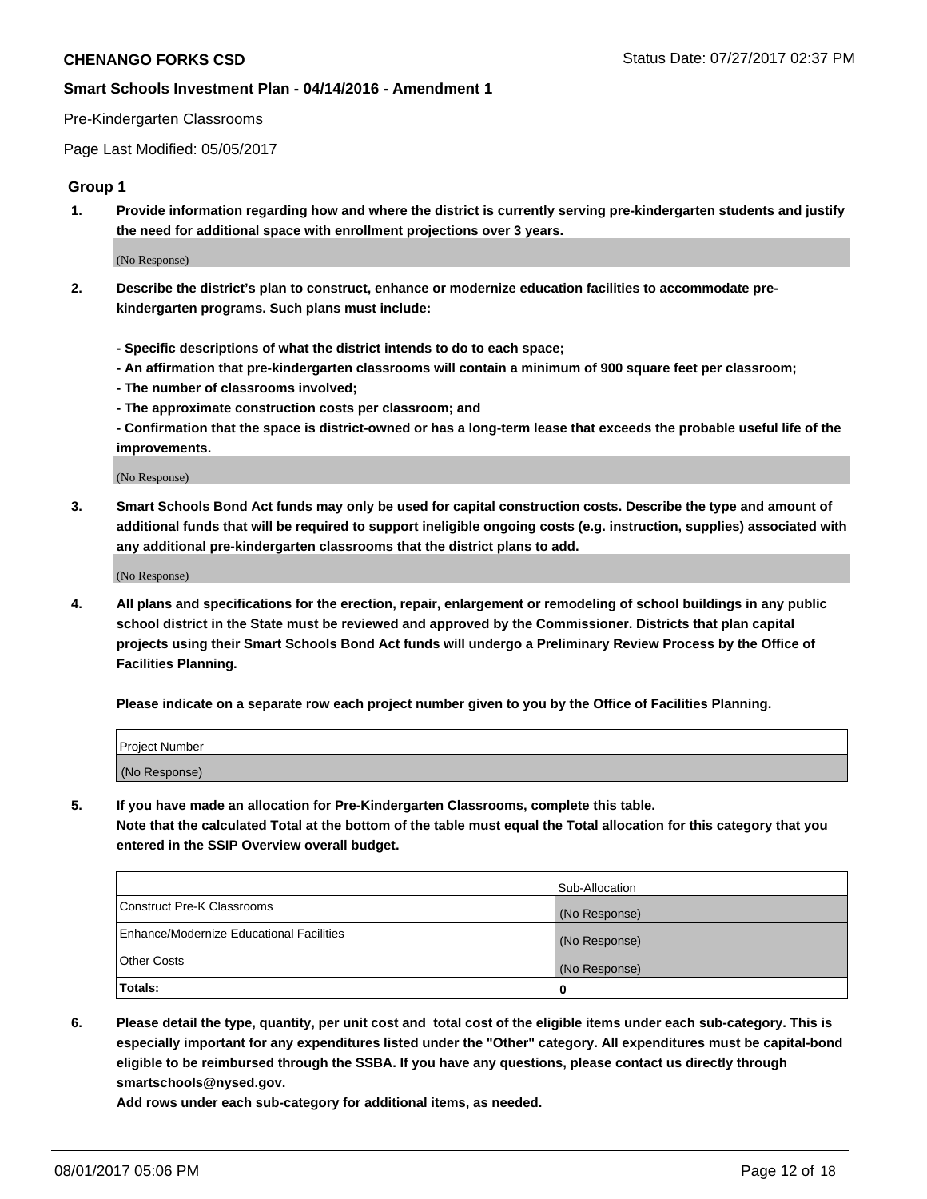#### Pre-Kindergarten Classrooms

Page Last Modified: 05/05/2017

#### **Group 1**

**1. Provide information regarding how and where the district is currently serving pre-kindergarten students and justify the need for additional space with enrollment projections over 3 years.**

(No Response)

- **2. Describe the district's plan to construct, enhance or modernize education facilities to accommodate prekindergarten programs. Such plans must include:**
	- **Specific descriptions of what the district intends to do to each space;**
	- **An affirmation that pre-kindergarten classrooms will contain a minimum of 900 square feet per classroom;**
	- **The number of classrooms involved;**
	- **The approximate construction costs per classroom; and**
	- **Confirmation that the space is district-owned or has a long-term lease that exceeds the probable useful life of the improvements.**

(No Response)

**3. Smart Schools Bond Act funds may only be used for capital construction costs. Describe the type and amount of additional funds that will be required to support ineligible ongoing costs (e.g. instruction, supplies) associated with any additional pre-kindergarten classrooms that the district plans to add.**

(No Response)

**4. All plans and specifications for the erection, repair, enlargement or remodeling of school buildings in any public school district in the State must be reviewed and approved by the Commissioner. Districts that plan capital projects using their Smart Schools Bond Act funds will undergo a Preliminary Review Process by the Office of Facilities Planning.**

**Please indicate on a separate row each project number given to you by the Office of Facilities Planning.**

| Project Number |  |
|----------------|--|
| (No Response)  |  |

**5. If you have made an allocation for Pre-Kindergarten Classrooms, complete this table. Note that the calculated Total at the bottom of the table must equal the Total allocation for this category that you entered in the SSIP Overview overall budget.**

| Totals:                                  | 0              |
|------------------------------------------|----------------|
| Other Costs                              | (No Response)  |
| Enhance/Modernize Educational Facilities | (No Response)  |
| Construct Pre-K Classrooms               | (No Response)  |
|                                          | Sub-Allocation |

**6. Please detail the type, quantity, per unit cost and total cost of the eligible items under each sub-category. This is especially important for any expenditures listed under the "Other" category. All expenditures must be capital-bond eligible to be reimbursed through the SSBA. If you have any questions, please contact us directly through smartschools@nysed.gov.**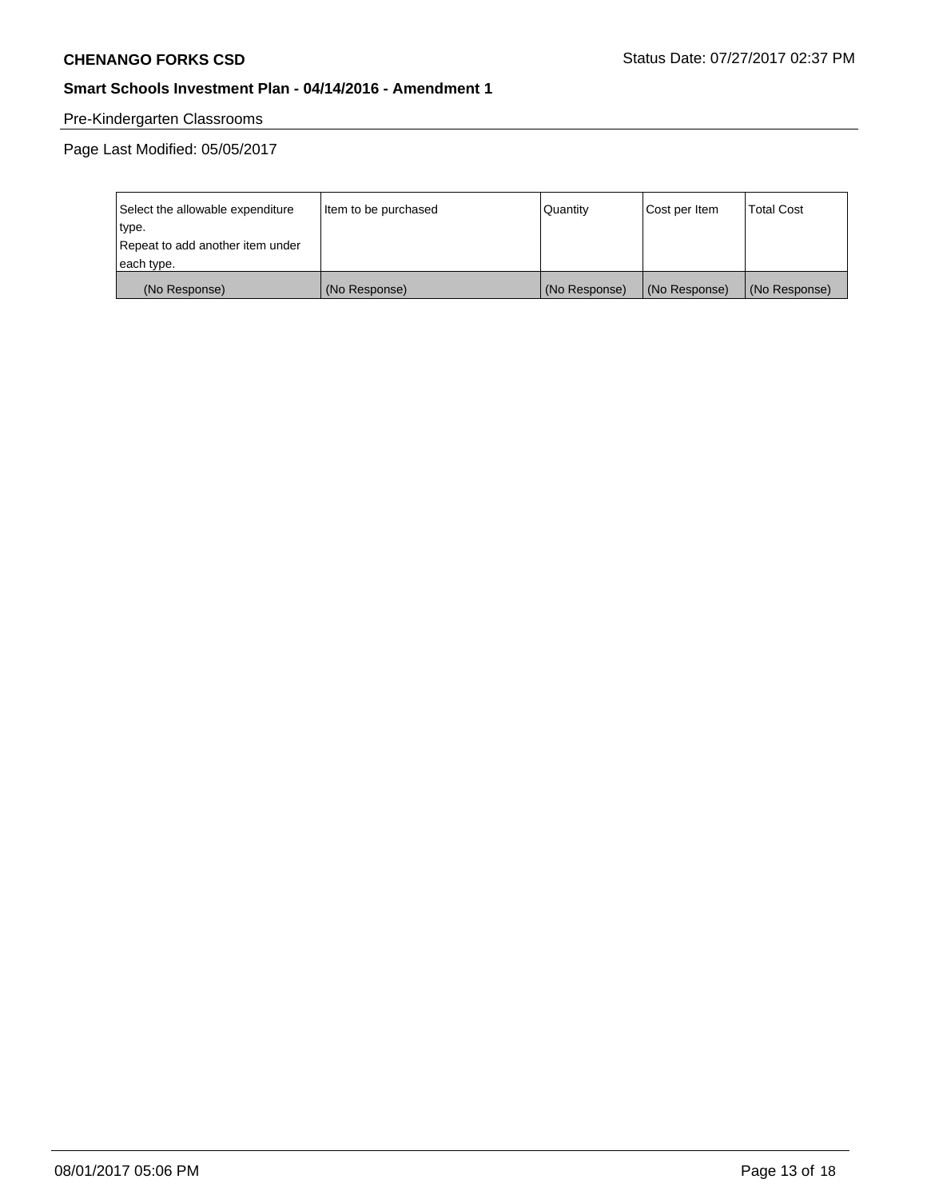# Pre-Kindergarten Classrooms

Page Last Modified: 05/05/2017

| Select the allowable expenditure | Item to be purchased | Quantity      | Cost per Item | <b>Total Cost</b> |
|----------------------------------|----------------------|---------------|---------------|-------------------|
| type.                            |                      |               |               |                   |
| Repeat to add another item under |                      |               |               |                   |
| each type.                       |                      |               |               |                   |
| (No Response)                    | (No Response)        | (No Response) | (No Response) | (No Response)     |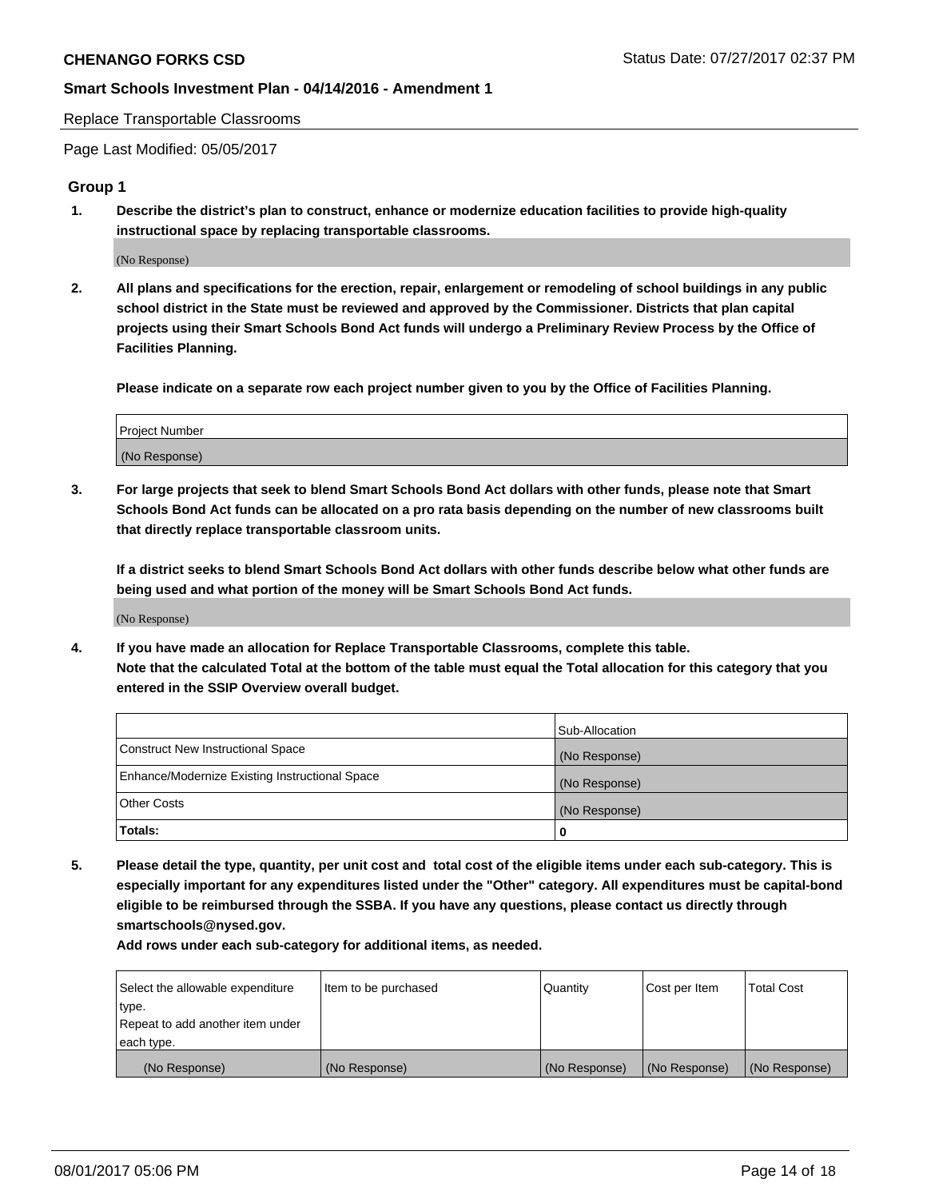Replace Transportable Classrooms

Page Last Modified: 05/05/2017

#### **Group 1**

**1. Describe the district's plan to construct, enhance or modernize education facilities to provide high-quality instructional space by replacing transportable classrooms.**

(No Response)

**2. All plans and specifications for the erection, repair, enlargement or remodeling of school buildings in any public school district in the State must be reviewed and approved by the Commissioner. Districts that plan capital projects using their Smart Schools Bond Act funds will undergo a Preliminary Review Process by the Office of Facilities Planning.**

**Please indicate on a separate row each project number given to you by the Office of Facilities Planning.**

| Project Number |  |
|----------------|--|
| (No Response)  |  |

**3. For large projects that seek to blend Smart Schools Bond Act dollars with other funds, please note that Smart Schools Bond Act funds can be allocated on a pro rata basis depending on the number of new classrooms built that directly replace transportable classroom units.**

**If a district seeks to blend Smart Schools Bond Act dollars with other funds describe below what other funds are being used and what portion of the money will be Smart Schools Bond Act funds.**

(No Response)

**4. If you have made an allocation for Replace Transportable Classrooms, complete this table. Note that the calculated Total at the bottom of the table must equal the Total allocation for this category that you entered in the SSIP Overview overall budget.**

|                                                | Sub-Allocation |
|------------------------------------------------|----------------|
| Construct New Instructional Space              | (No Response)  |
| Enhance/Modernize Existing Instructional Space | (No Response)  |
| Other Costs                                    | (No Response)  |
| Totals:                                        | $\Omega$       |

**5. Please detail the type, quantity, per unit cost and total cost of the eligible items under each sub-category. This is especially important for any expenditures listed under the "Other" category. All expenditures must be capital-bond eligible to be reimbursed through the SSBA. If you have any questions, please contact us directly through smartschools@nysed.gov.**

| Select the allowable expenditure | Item to be purchased | Quantity      | Cost per Item | <b>Total Cost</b> |
|----------------------------------|----------------------|---------------|---------------|-------------------|
| type.                            |                      |               |               |                   |
| Repeat to add another item under |                      |               |               |                   |
| each type.                       |                      |               |               |                   |
| (No Response)                    | (No Response)        | (No Response) | (No Response) | (No Response)     |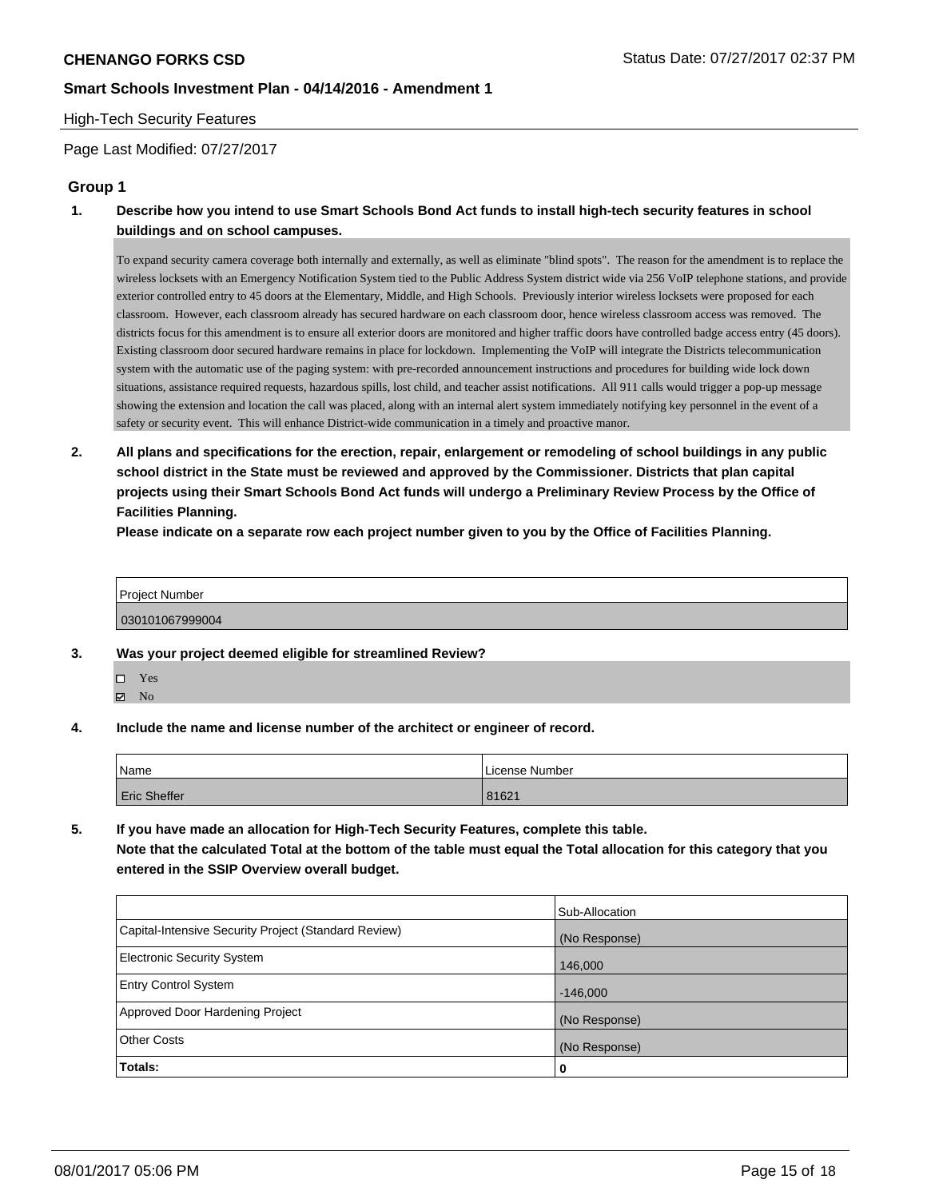#### High-Tech Security Features

Page Last Modified: 07/27/2017

# **Group 1**

**1. Describe how you intend to use Smart Schools Bond Act funds to install high-tech security features in school buildings and on school campuses.**

To expand security camera coverage both internally and externally, as well as eliminate "blind spots". The reason for the amendment is to replace the wireless locksets with an Emergency Notification System tied to the Public Address System district wide via 256 VoIP telephone stations, and provide exterior controlled entry to 45 doors at the Elementary, Middle, and High Schools. Previously interior wireless locksets were proposed for each classroom. However, each classroom already has secured hardware on each classroom door, hence wireless classroom access was removed. The districts focus for this amendment is to ensure all exterior doors are monitored and higher traffic doors have controlled badge access entry (45 doors). Existing classroom door secured hardware remains in place for lockdown. Implementing the VoIP will integrate the Districts telecommunication system with the automatic use of the paging system: with pre-recorded announcement instructions and procedures for building wide lock down situations, assistance required requests, hazardous spills, lost child, and teacher assist notifications. All 911 calls would trigger a pop-up message showing the extension and location the call was placed, along with an internal alert system immediately notifying key personnel in the event of a safety or security event. This will enhance District-wide communication in a timely and proactive manor.

**2. All plans and specifications for the erection, repair, enlargement or remodeling of school buildings in any public school district in the State must be reviewed and approved by the Commissioner. Districts that plan capital projects using their Smart Schools Bond Act funds will undergo a Preliminary Review Process by the Office of Facilities Planning.** 

**Please indicate on a separate row each project number given to you by the Office of Facilities Planning.**

# Project Number 030101067999004

- **3. Was your project deemed eligible for streamlined Review?**
	- □ Yes
	- $\nabla$  No
- **4. Include the name and license number of the architect or engineer of record.**

| Name                | License Number |
|---------------------|----------------|
| <b>Eric Sheffer</b> | 81621          |

**5. If you have made an allocation for High-Tech Security Features, complete this table. Note that the calculated Total at the bottom of the table must equal the Total allocation for this category that you entered in the SSIP Overview overall budget.**

|                                                      | Sub-Allocation |
|------------------------------------------------------|----------------|
| Capital-Intensive Security Project (Standard Review) | (No Response)  |
| Electronic Security System                           | 146,000        |
| <b>Entry Control System</b>                          | $-146,000$     |
| Approved Door Hardening Project                      | (No Response)  |
| <b>Other Costs</b>                                   | (No Response)  |
| Totals:                                              | $\bf{0}$       |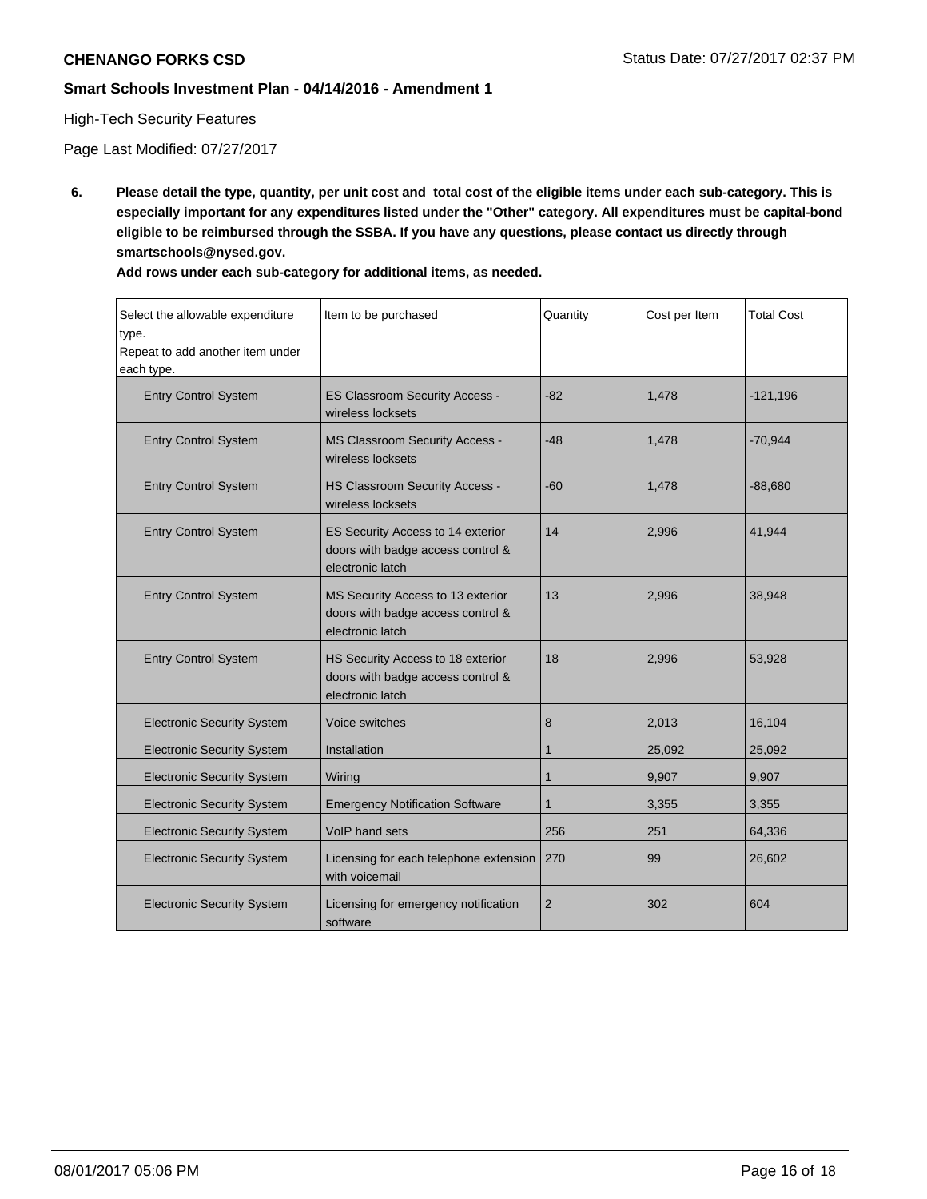# High-Tech Security Features

Page Last Modified: 07/27/2017

**6. Please detail the type, quantity, per unit cost and total cost of the eligible items under each sub-category. This is especially important for any expenditures listed under the "Other" category. All expenditures must be capital-bond eligible to be reimbursed through the SSBA. If you have any questions, please contact us directly through smartschools@nysed.gov.**

| Add rows under each sub-category for additional items, as needed. |  |  |
|-------------------------------------------------------------------|--|--|
|-------------------------------------------------------------------|--|--|

| Select the allowable expenditure<br>type.<br>Repeat to add another item under<br>each type.                               | Item to be purchased                                                                       | Quantity       | Cost per Item | <b>Total Cost</b> |
|---------------------------------------------------------------------------------------------------------------------------|--------------------------------------------------------------------------------------------|----------------|---------------|-------------------|
| <b>Entry Control System</b>                                                                                               | <b>ES Classroom Security Access -</b><br>wireless locksets                                 | $-82$          | 1,478         | $-121,196$        |
| <b>Entry Control System</b>                                                                                               | <b>MS Classroom Security Access -</b><br>wireless locksets                                 | $-48$          | 1,478         | $-70,944$         |
| <b>Entry Control System</b>                                                                                               | <b>HS Classroom Security Access -</b><br>wireless locksets                                 | $-60$          | 1,478         | $-88,680$         |
| <b>Entry Control System</b><br>ES Security Access to 14 exterior<br>doors with badge access control &<br>electronic latch |                                                                                            | 14             | 2,996         | 41,944            |
| <b>Entry Control System</b>                                                                                               | MS Security Access to 13 exterior<br>doors with badge access control &<br>electronic latch | 13             | 2,996         | 38,948            |
| <b>Entry Control System</b><br>HS Security Access to 18 exterior<br>doors with badge access control &<br>electronic latch |                                                                                            | 18             | 2,996         | 53,928            |
| <b>Electronic Security System</b>                                                                                         | Voice switches                                                                             | 8              | 2,013         | 16,104            |
| <b>Electronic Security System</b>                                                                                         | Installation                                                                               | 1              | 25,092        | 25,092            |
| <b>Electronic Security System</b>                                                                                         | Wiring                                                                                     | $\mathbf{1}$   | 9,907         | 9,907             |
| <b>Electronic Security System</b>                                                                                         | <b>Emergency Notification Software</b>                                                     | 1              | 3,355         | 3,355             |
| <b>Electronic Security System</b>                                                                                         | VoIP hand sets                                                                             | 256            | 251           | 64,336            |
| <b>Electronic Security System</b>                                                                                         | Licensing for each telephone extension<br>with voicemail                                   | 270            | 99            | 26,602            |
| <b>Electronic Security System</b>                                                                                         | Licensing for emergency notification<br>software                                           | $\overline{2}$ | 302           | 604               |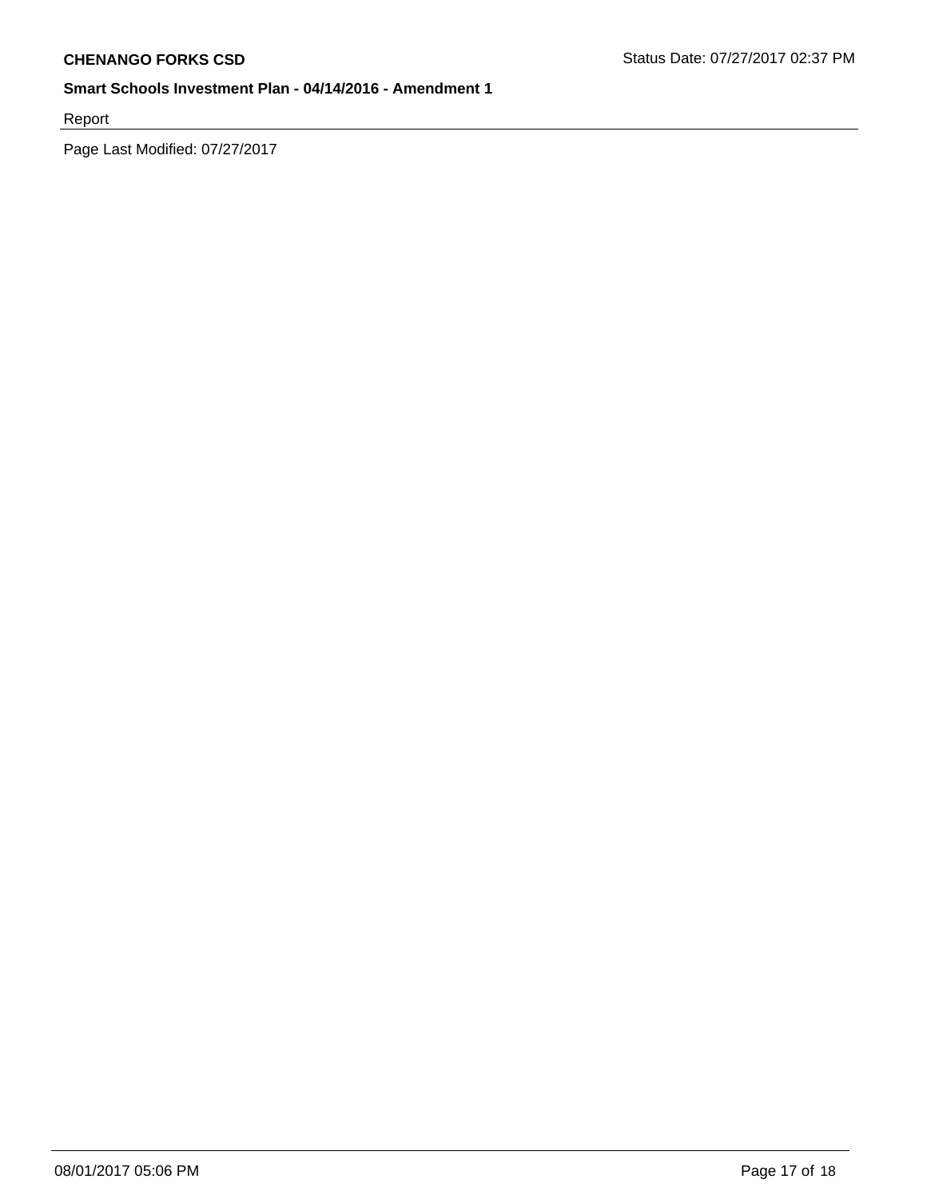Report

Page Last Modified: 07/27/2017